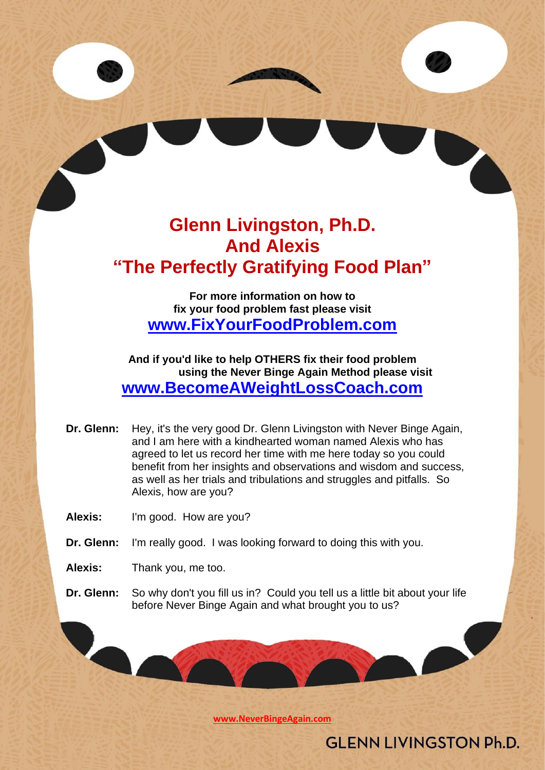# **Glenn Livingston, Ph.D. And Alexis "The Perfectly Gratifying Food Plan"**

**For more information on how to fix your food problem fast please visit [www.FixYourFoodProblem.com](http://www.fixyourfoodproblem.com/)**

**And if you'd like to help OTHERS fix their food problem using the Never Binge Again Method please visit [www.BecomeAWeightLossCoach.com](http://www.becomeaweightlosscoach.com/)**

**Dr. Glenn:** Hey, it's the very good Dr. Glenn Livingston with Never Binge Again, and I am here with a kindhearted woman named Alexis who has agreed to let us record her time with me here today so you could benefit from her insights and observations and wisdom and success, as well as her trials and tribulations and struggles and pitfalls. So Alexis, how are you?

**Alexis:** I'm good. How are you?

- **Dr. Glenn:** I'm really good. I was looking forward to doing this with you.
- **Alexis:** Thank you, me too.
- **Dr. Glenn:** So why don't you fill us in? Could you tell us a little bit about your life before Never Binge Again and what brought you to us?

**[www.NeverBingeAgain.com](http://www.neverbingeagain.com/)**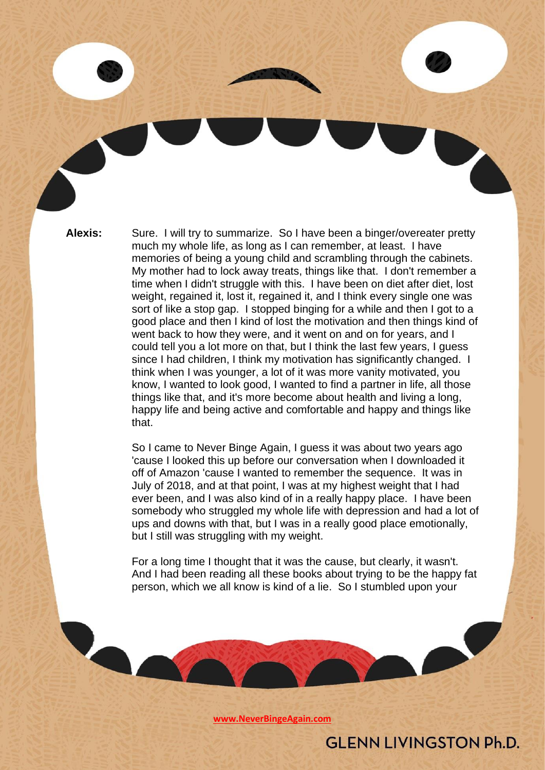**Alexis:** Sure. I will try to summarize. So I have been a binger/overeater pretty much my whole life, as long as I can remember, at least. I have memories of being a young child and scrambling through the cabinets. My mother had to lock away treats, things like that. I don't remember a time when I didn't struggle with this. I have been on diet after diet, lost weight, regained it, lost it, regained it, and I think every single one was sort of like a stop gap. I stopped binging for a while and then I got to a good place and then I kind of lost the motivation and then things kind of went back to how they were, and it went on and on for years, and I could tell you a lot more on that, but I think the last few years, I guess since I had children, I think my motivation has significantly changed. I think when I was younger, a lot of it was more vanity motivated, you know, I wanted to look good, I wanted to find a partner in life, all those things like that, and it's more become about health and living a long, happy life and being active and comfortable and happy and things like that.

> So I came to Never Binge Again, I guess it was about two years ago 'cause I looked this up before our conversation when I downloaded it off of Amazon 'cause I wanted to remember the sequence. It was in July of 2018, and at that point, I was at my highest weight that I had ever been, and I was also kind of in a really happy place. I have been somebody who struggled my whole life with depression and had a lot of ups and downs with that, but I was in a really good place emotionally, but I still was struggling with my weight.

> For a long time I thought that it was the cause, but clearly, it wasn't. And I had been reading all these books about trying to be the happy fat person, which we all know is kind of a lie. So I stumbled upon your

> > **[www.NeverBingeAgain.com](http://www.neverbingeagain.com/)**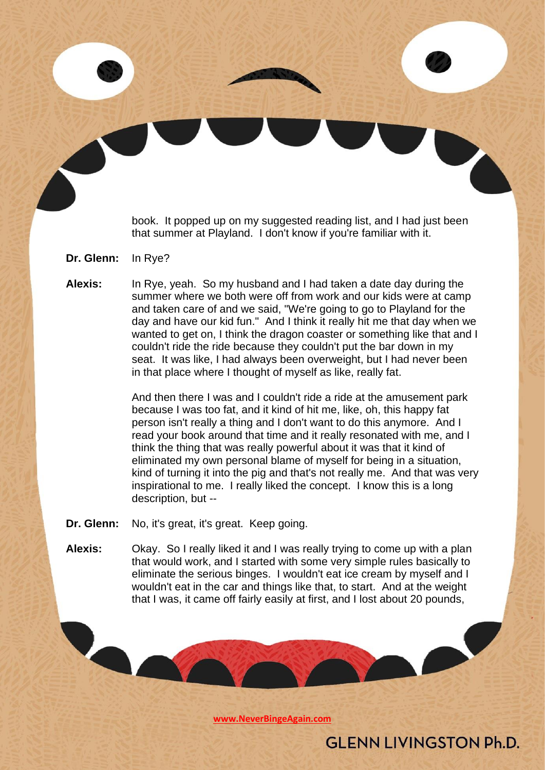book. It popped up on my suggested reading list, and I had just been that summer at Playland. I don't know if you're familiar with it.

- **Dr. Glenn:** In Rye?
- **Alexis:** In Rye, yeah. So my husband and I had taken a date day during the summer where we both were off from work and our kids were at camp and taken care of and we said, "We're going to go to Playland for the day and have our kid fun." And I think it really hit me that day when we wanted to get on, I think the dragon coaster or something like that and I couldn't ride the ride because they couldn't put the bar down in my seat. It was like, I had always been overweight, but I had never been in that place where I thought of myself as like, really fat.

And then there I was and I couldn't ride a ride at the amusement park because I was too fat, and it kind of hit me, like, oh, this happy fat person isn't really a thing and I don't want to do this anymore. And I read your book around that time and it really resonated with me, and I think the thing that was really powerful about it was that it kind of eliminated my own personal blame of myself for being in a situation, kind of turning it into the pig and that's not really me. And that was very inspirational to me. I really liked the concept. I know this is a long description, but --

**Dr. Glenn:** No, it's great, it's great. Keep going.

**Alexis:** Okay. So I really liked it and I was really trying to come up with a plan that would work, and I started with some very simple rules basically to eliminate the serious binges. I wouldn't eat ice cream by myself and I wouldn't eat in the car and things like that, to start. And at the weight that I was, it came off fairly easily at first, and I lost about 20 pounds,

**[www.NeverBingeAgain.com](http://www.neverbingeagain.com/)**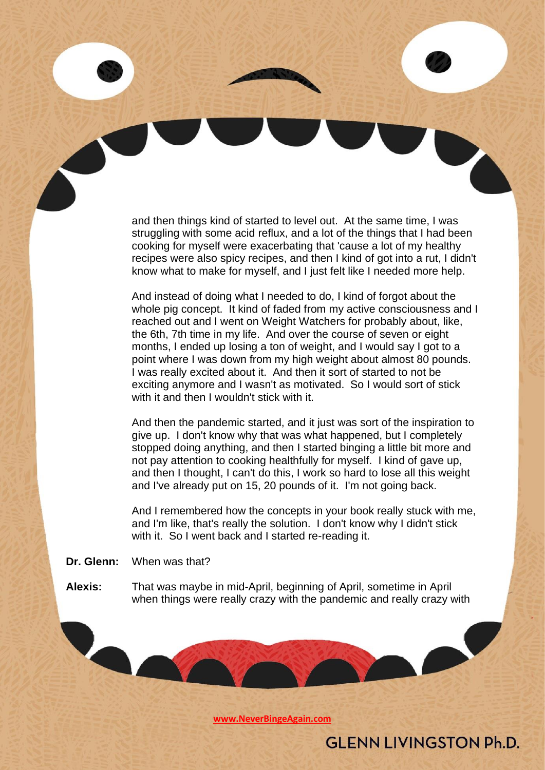and then things kind of started to level out. At the same time, I was struggling with some acid reflux, and a lot of the things that I had been cooking for myself were exacerbating that 'cause a lot of my healthy recipes were also spicy recipes, and then I kind of got into a rut, I didn't know what to make for myself, and I just felt like I needed more help.

And instead of doing what I needed to do, I kind of forgot about the whole pig concept. It kind of faded from my active consciousness and I reached out and I went on Weight Watchers for probably about, like, the 6th, 7th time in my life. And over the course of seven or eight months, I ended up losing a ton of weight, and I would say I got to a point where I was down from my high weight about almost 80 pounds. I was really excited about it. And then it sort of started to not be exciting anymore and I wasn't as motivated. So I would sort of stick with it and then I wouldn't stick with it.

And then the pandemic started, and it just was sort of the inspiration to give up. I don't know why that was what happened, but I completely stopped doing anything, and then I started binging a little bit more and not pay attention to cooking healthfully for myself. I kind of gave up, and then I thought, I can't do this, I work so hard to lose all this weight and I've already put on 15, 20 pounds of it. I'm not going back.

And I remembered how the concepts in your book really stuck with me, and I'm like, that's really the solution. I don't know why I didn't stick with it. So I went back and I started re-reading it.

**Dr. Glenn:** When was that?

**Alexis:** That was maybe in mid-April, beginning of April, sometime in April when things were really crazy with the pandemic and really crazy with

**[www.NeverBingeAgain.com](http://www.neverbingeagain.com/)**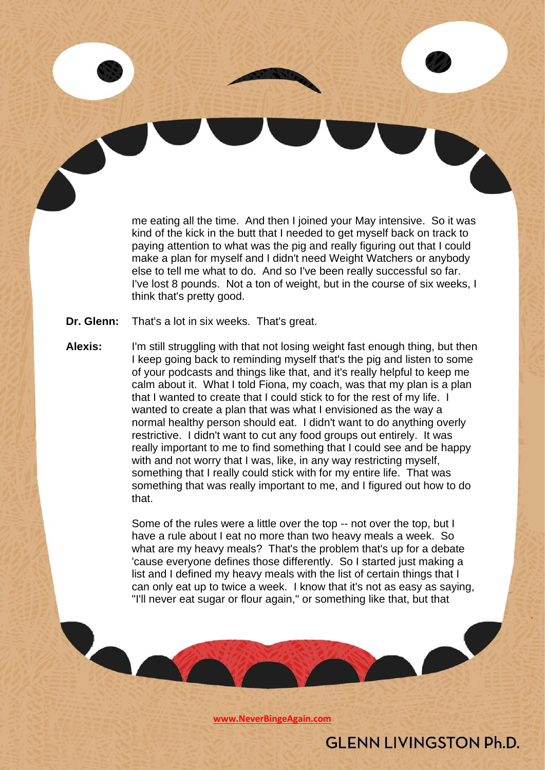me eating all the time. And then I joined your May intensive. So it was kind of the kick in the butt that I needed to get myself back on track to paying attention to what was the pig and really figuring out that I could make a plan for myself and I didn't need Weight Watchers or anybody else to tell me what to do. And so I've been really successful so far. I've lost 8 pounds. Not a ton of weight, but in the course of six weeks, I think that's pretty good.

- **Dr. Glenn:** That's a lot in six weeks. That's great.
- **Alexis:** I'm still struggling with that not losing weight fast enough thing, but then I keep going back to reminding myself that's the pig and listen to some of your podcasts and things like that, and it's really helpful to keep me calm about it. What I told Fiona, my coach, was that my plan is a plan that I wanted to create that I could stick to for the rest of my life. I wanted to create a plan that was what I envisioned as the way a normal healthy person should eat. I didn't want to do anything overly restrictive. I didn't want to cut any food groups out entirely. It was really important to me to find something that I could see and be happy with and not worry that I was, like, in any way restricting myself, something that I really could stick with for my entire life. That was something that was really important to me, and I figured out how to do that.

Some of the rules were a little over the top -- not over the top, but I have a rule about I eat no more than two heavy meals a week. So what are my heavy meals? That's the problem that's up for a debate 'cause everyone defines those differently. So I started just making a list and I defined my heavy meals with the list of certain things that I can only eat up to twice a week. I know that it's not as easy as saying, "I'll never eat sugar or flour again," or something like that, but that

**[www.NeverBingeAgain.com](http://www.neverbingeagain.com/)**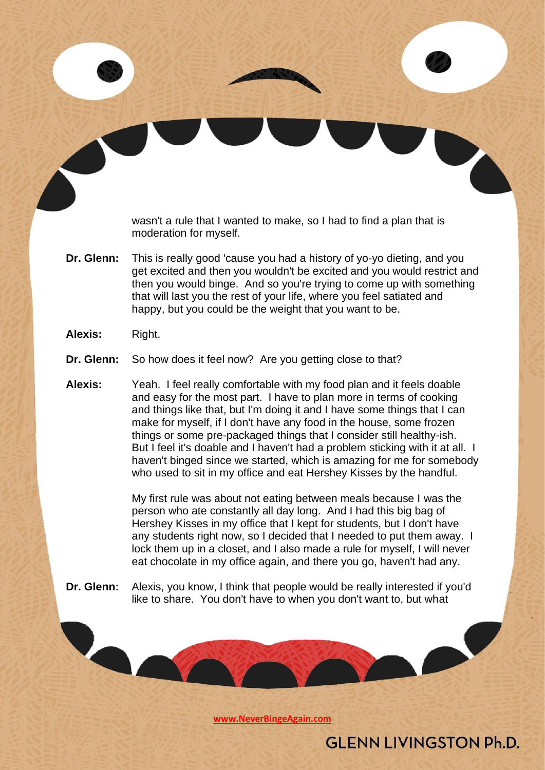wasn't a rule that I wanted to make, so I had to find a plan that is moderation for myself.

- **Dr. Glenn:** This is really good 'cause you had a history of yo-yo dieting, and you get excited and then you wouldn't be excited and you would restrict and then you would binge. And so you're trying to come up with something that will last you the rest of your life, where you feel satiated and happy, but you could be the weight that you want to be.
- **Alexis:** Right.
- **Dr. Glenn:** So how does it feel now? Are you getting close to that?
- **Alexis:** Yeah. I feel really comfortable with my food plan and it feels doable and easy for the most part. I have to plan more in terms of cooking and things like that, but I'm doing it and I have some things that I can make for myself, if I don't have any food in the house, some frozen things or some pre-packaged things that I consider still healthy-ish. But I feel it's doable and I haven't had a problem sticking with it at all. I haven't binged since we started, which is amazing for me for somebody who used to sit in my office and eat Hershey Kisses by the handful.

My first rule was about not eating between meals because I was the person who ate constantly all day long. And I had this big bag of Hershey Kisses in my office that I kept for students, but I don't have any students right now, so I decided that I needed to put them away. I lock them up in a closet, and I also made a rule for myself, I will never eat chocolate in my office again, and there you go, haven't had any.

**Dr. Glenn:** Alexis, you know, I think that people would be really interested if you'd like to share. You don't have to when you don't want to, but what

**[www.NeverBingeAgain.com](http://www.neverbingeagain.com/)**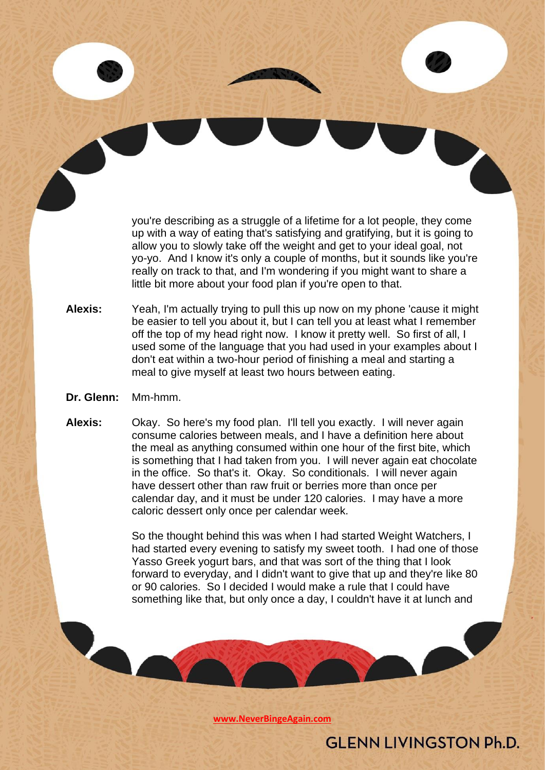you're describing as a struggle of a lifetime for a lot people, they come up with a way of eating that's satisfying and gratifying, but it is going to allow you to slowly take off the weight and get to your ideal goal, not yo-yo. And I know it's only a couple of months, but it sounds like you're really on track to that, and I'm wondering if you might want to share a little bit more about your food plan if you're open to that.

**Alexis:** Yeah, I'm actually trying to pull this up now on my phone 'cause it might be easier to tell you about it, but I can tell you at least what I remember off the top of my head right now. I know it pretty well. So first of all, I used some of the language that you had used in your examples about I don't eat within a two-hour period of finishing a meal and starting a meal to give myself at least two hours between eating.

#### **Dr. Glenn:** Mm-hmm.

**Alexis:** Okay. So here's my food plan. I'll tell you exactly. I will never again consume calories between meals, and I have a definition here about the meal as anything consumed within one hour of the first bite, which is something that I had taken from you. I will never again eat chocolate in the office. So that's it. Okay. So conditionals. I will never again have dessert other than raw fruit or berries more than once per calendar day, and it must be under 120 calories. I may have a more caloric dessert only once per calendar week.

> So the thought behind this was when I had started Weight Watchers, I had started every evening to satisfy my sweet tooth. I had one of those Yasso Greek yogurt bars, and that was sort of the thing that I look forward to everyday, and I didn't want to give that up and they're like 80 or 90 calories. So I decided I would make a rule that I could have something like that, but only once a day, I couldn't have it at lunch and

> > **[www.NeverBingeAgain.com](http://www.neverbingeagain.com/)**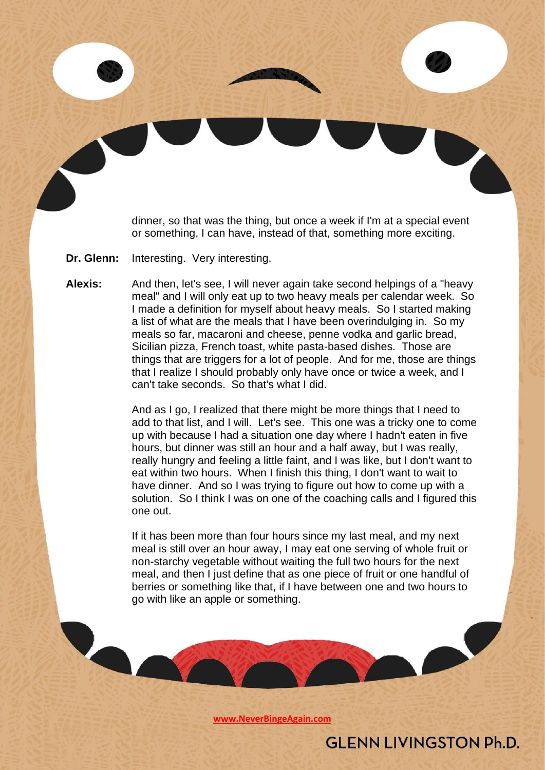dinner, so that was the thing, but once a week if I'm at a special event or something, I can have, instead of that, something more exciting.

**Dr. Glenn:** Interesting. Very interesting.

**Alexis:** And then, let's see, I will never again take second helpings of a "heavy meal" and I will only eat up to two heavy meals per calendar week. So I made a definition for myself about heavy meals. So I started making a list of what are the meals that I have been overindulging in. So my meals so far, macaroni and cheese, penne vodka and garlic bread, Sicilian pizza, French toast, white pasta-based dishes. Those are things that are triggers for a lot of people. And for me, those are things that I realize I should probably only have once or twice a week, and I can't take seconds. So that's what I did.

> And as I go, I realized that there might be more things that I need to add to that list, and I will. Let's see. This one was a tricky one to come up with because I had a situation one day where I hadn't eaten in five hours, but dinner was still an hour and a half away, but I was really, really hungry and feeling a little faint, and I was like, but I don't want to eat within two hours. When I finish this thing, I don't want to wait to have dinner. And so I was trying to figure out how to come up with a solution. So I think I was on one of the coaching calls and I figured this one out.

If it has been more than four hours since my last meal, and my next meal is still over an hour away, I may eat one serving of whole fruit or non-starchy vegetable without waiting the full two hours for the next meal, and then I just define that as one piece of fruit or one handful of berries or something like that, if I have between one and two hours to go with like an apple or something.

**[www.NeverBingeAgain.com](http://www.neverbingeagain.com/)**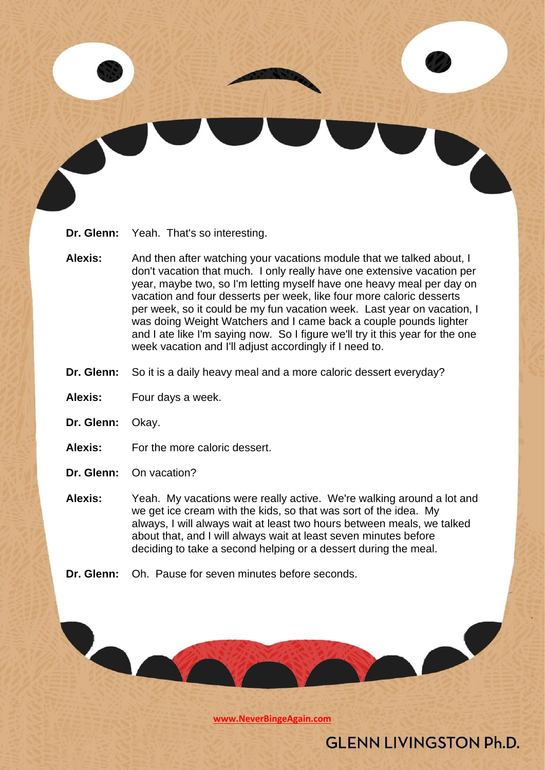

- **Alexis:** And then after watching your vacations module that we talked about, I don't vacation that much. I only really have one extensive vacation per year, maybe two, so I'm letting myself have one heavy meal per day on vacation and four desserts per week, like four more caloric desserts per week, so it could be my fun vacation week. Last year on vacation, I was doing Weight Watchers and I came back a couple pounds lighter and I ate like I'm saying now. So I figure we'll try it this year for the one week vacation and I'll adjust accordingly if I need to.
- **Dr. Glenn:** So it is a daily heavy meal and a more caloric dessert everyday?
- **Alexis:** Four days a week.
- **Dr. Glenn:** Okay.
- **Alexis:** For the more caloric dessert.
- **Dr. Glenn:** On vacation?

- **Alexis:** Yeah. My vacations were really active. We're walking around a lot and we get ice cream with the kids, so that was sort of the idea. My always, I will always wait at least two hours between meals, we talked about that, and I will always wait at least seven minutes before deciding to take a second helping or a dessert during the meal.
- **Dr. Glenn:** Oh. Pause for seven minutes before seconds.

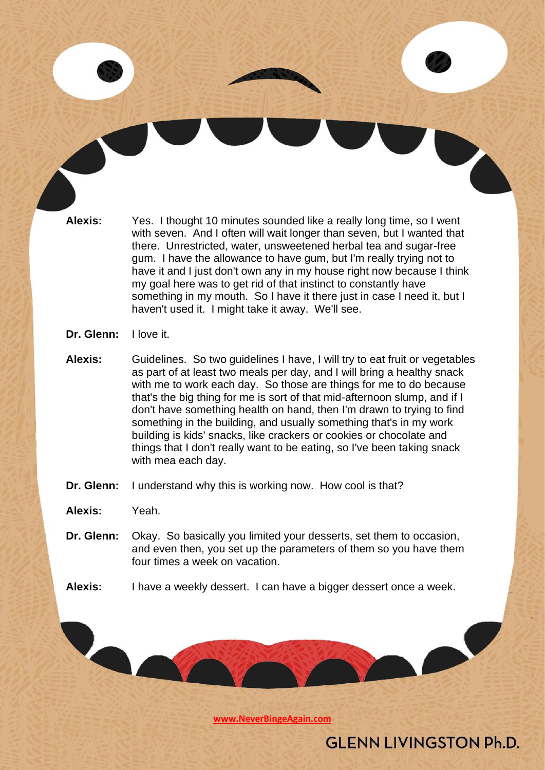**Alexis:** Yes. I thought 10 minutes sounded like a really long time, so I went with seven. And I often will wait longer than seven, but I wanted that there. Unrestricted, water, unsweetened herbal tea and sugar-free gum. I have the allowance to have gum, but I'm really trying not to have it and I just don't own any in my house right now because I think my goal here was to get rid of that instinct to constantly have something in my mouth. So I have it there just in case I need it, but I haven't used it. I might take it away. We'll see.

#### **Dr. Glenn:** I love it.

- **Alexis:** Guidelines. So two guidelines I have, I will try to eat fruit or vegetables as part of at least two meals per day, and I will bring a healthy snack with me to work each day. So those are things for me to do because that's the big thing for me is sort of that mid-afternoon slump, and if I don't have something health on hand, then I'm drawn to trying to find something in the building, and usually something that's in my work building is kids' snacks, like crackers or cookies or chocolate and things that I don't really want to be eating, so I've been taking snack with mea each day.
- **Dr. Glenn:** I understand why this is working now. How cool is that?

**Alexis:** Yeah.

- **Dr. Glenn:** Okay. So basically you limited your desserts, set them to occasion, and even then, you set up the parameters of them so you have them four times a week on vacation.
- **Alexis:** I have a weekly dessert. I can have a bigger dessert once a week.

**[www.NeverBingeAgain.com](http://www.neverbingeagain.com/)**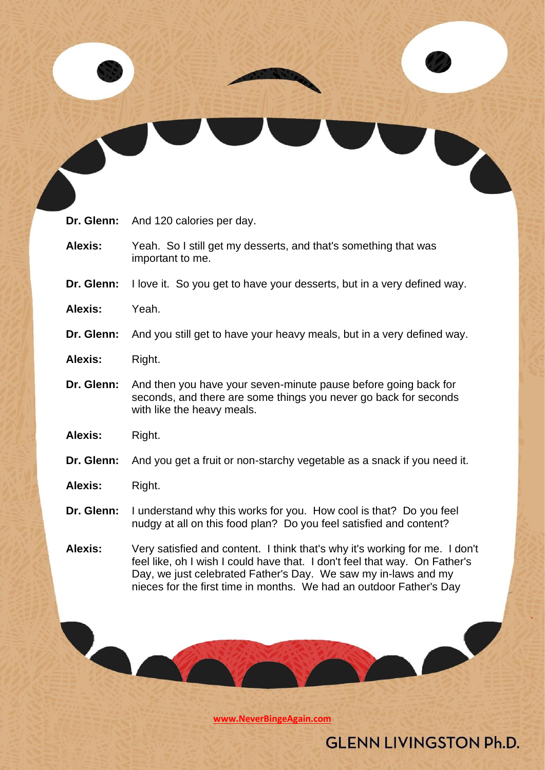| Dr. Glenn:     | And 120 calories per day.                                                                                                                                                                                                                                                                          |
|----------------|----------------------------------------------------------------------------------------------------------------------------------------------------------------------------------------------------------------------------------------------------------------------------------------------------|
| <b>Alexis:</b> | Yeah. So I still get my desserts, and that's something that was<br>important to me.                                                                                                                                                                                                                |
| Dr. Glenn:     | I love it. So you get to have your desserts, but in a very defined way.                                                                                                                                                                                                                            |
| Alexis:        | Yeah.                                                                                                                                                                                                                                                                                              |
| Dr. Glenn:     | And you still get to have your heavy meals, but in a very defined way.                                                                                                                                                                                                                             |
| <b>Alexis:</b> | Right.                                                                                                                                                                                                                                                                                             |
| Dr. Glenn:     | And then you have your seven-minute pause before going back for<br>seconds, and there are some things you never go back for seconds<br>with like the heavy meals.                                                                                                                                  |
| Alexis:        | Right.                                                                                                                                                                                                                                                                                             |
| Dr. Glenn:     | And you get a fruit or non-starchy vegetable as a snack if you need it.                                                                                                                                                                                                                            |
| <b>Alexis:</b> | Right.                                                                                                                                                                                                                                                                                             |
| Dr. Glenn:     | I understand why this works for you. How cool is that? Do you feel<br>nudgy at all on this food plan? Do you feel satisfied and content?                                                                                                                                                           |
| Alexis:        | Very satisfied and content. I think that's why it's working for me. I don't<br>feel like, oh I wish I could have that. I don't feel that way. On Father's<br>Day, we just celebrated Father's Day. We saw my in-laws and my<br>nieces for the first time in months. We had an outdoor Father's Day |
|                |                                                                                                                                                                                                                                                                                                    |

**[www.NeverBingeAgain.com](http://www.neverbingeagain.com/)**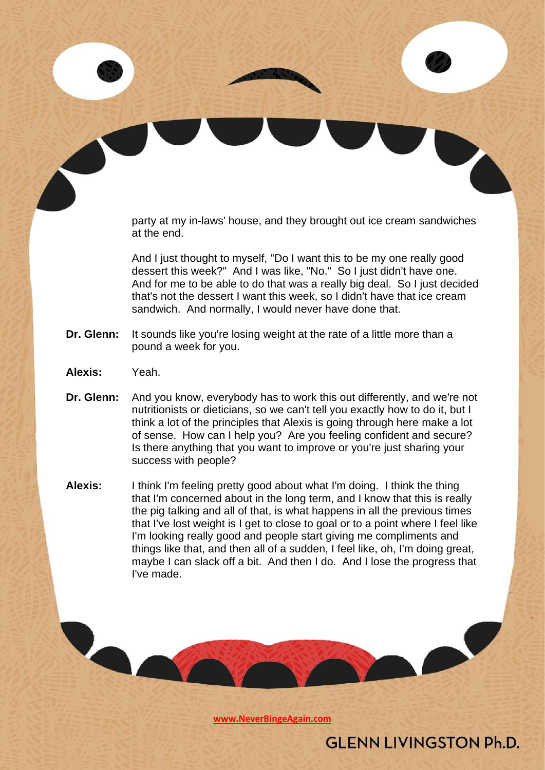party at my in-laws' house, and they brought out ice cream sandwiches at the end.

And I just thought to myself, "Do I want this to be my one really good dessert this week?" And I was like, "No." So I just didn't have one. And for me to be able to do that was a really big deal. So I just decided that's not the dessert I want this week, so I didn't have that ice cream sandwich. And normally, I would never have done that.

- **Dr. Glenn:** It sounds like you're losing weight at the rate of a little more than a pound a week for you.
- **Alexis:** Yeah.
- **Dr. Glenn:** And you know, everybody has to work this out differently, and we're not nutritionists or dieticians, so we can't tell you exactly how to do it, but I think a lot of the principles that Alexis is going through here make a lot of sense. How can I help you? Are you feeling confident and secure? Is there anything that you want to improve or you're just sharing your success with people?
- **Alexis:** I think I'm feeling pretty good about what I'm doing. I think the thing that I'm concerned about in the long term, and I know that this is really the pig talking and all of that, is what happens in all the previous times that I've lost weight is I get to close to goal or to a point where I feel like I'm looking really good and people start giving me compliments and things like that, and then all of a sudden, I feel like, oh, I'm doing great, maybe I can slack off a bit. And then I do. And I lose the progress that I've made.

**[www.NeverBingeAgain.com](http://www.neverbingeagain.com/)**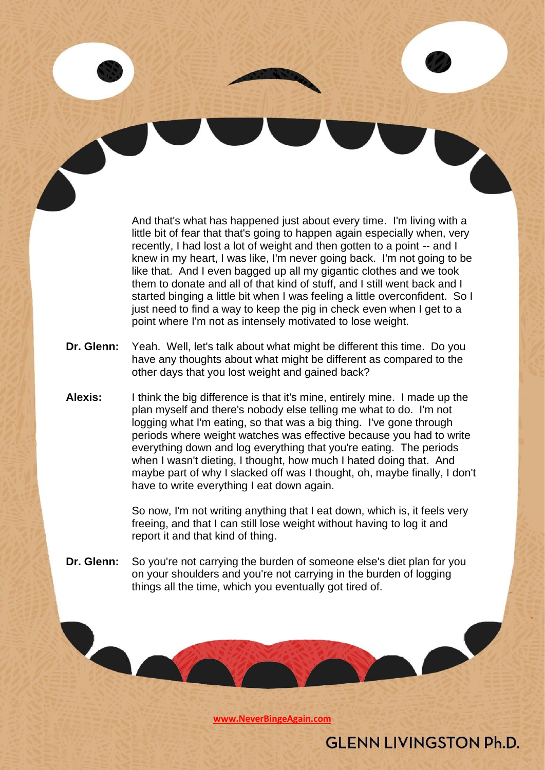And that's what has happened just about every time. I'm living with a little bit of fear that that's going to happen again especially when, very recently, I had lost a lot of weight and then gotten to a point -- and I knew in my heart, I was like, I'm never going back. I'm not going to be like that. And I even bagged up all my gigantic clothes and we took them to donate and all of that kind of stuff, and I still went back and I started binging a little bit when I was feeling a little overconfident. So I just need to find a way to keep the pig in check even when I get to a point where I'm not as intensely motivated to lose weight.

- **Dr. Glenn:** Yeah. Well, let's talk about what might be different this time. Do you have any thoughts about what might be different as compared to the other days that you lost weight and gained back?
- **Alexis:** I think the big difference is that it's mine, entirely mine. I made up the plan myself and there's nobody else telling me what to do. I'm not logging what I'm eating, so that was a big thing. I've gone through periods where weight watches was effective because you had to write everything down and log everything that you're eating. The periods when I wasn't dieting, I thought, how much I hated doing that. And maybe part of why I slacked off was I thought, oh, maybe finally, I don't have to write everything I eat down again.

So now, I'm not writing anything that I eat down, which is, it feels very freeing, and that I can still lose weight without having to log it and report it and that kind of thing.

**Dr. Glenn:** So you're not carrying the burden of someone else's diet plan for you on your shoulders and you're not carrying in the burden of logging things all the time, which you eventually got tired of.

**[www.NeverBingeAgain.com](http://www.neverbingeagain.com/)**

**GLENN LIVINGSTON Ph.D.**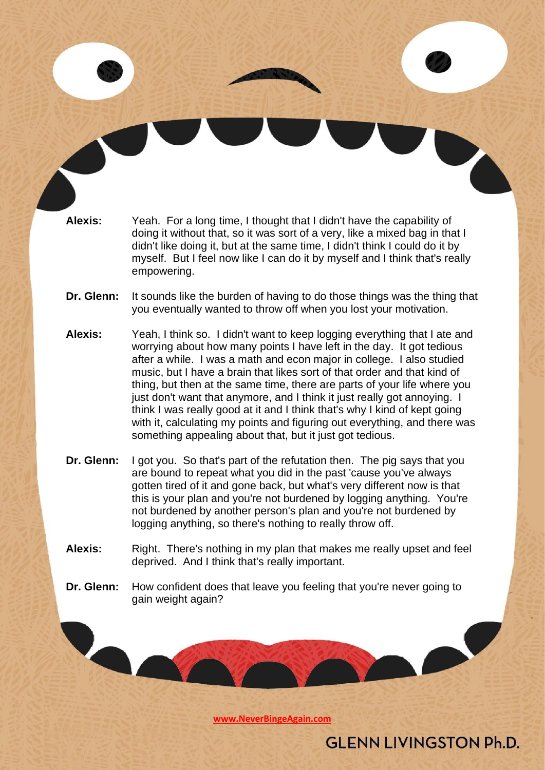**Alexis:** Yeah. For a long time, I thought that I didn't have the capability of doing it without that, so it was sort of a very, like a mixed bag in that I didn't like doing it, but at the same time, I didn't think I could do it by myself. But I feel now like I can do it by myself and I think that's really empowering.

- **Dr. Glenn:** It sounds like the burden of having to do those things was the thing that you eventually wanted to throw off when you lost your motivation.
- **Alexis:** Yeah, I think so. I didn't want to keep logging everything that I ate and worrying about how many points I have left in the day. It got tedious after a while. I was a math and econ major in college. I also studied music, but I have a brain that likes sort of that order and that kind of thing, but then at the same time, there are parts of your life where you just don't want that anymore, and I think it just really got annoying. I think I was really good at it and I think that's why I kind of kept going with it, calculating my points and figuring out everything, and there was something appealing about that, but it just got tedious.
- **Dr. Glenn:** I got you. So that's part of the refutation then. The pig says that you are bound to repeat what you did in the past 'cause you've always gotten tired of it and gone back, but what's very different now is that this is your plan and you're not burdened by logging anything. You're not burdened by another person's plan and you're not burdened by logging anything, so there's nothing to really throw off.
- **Alexis:** Right. There's nothing in my plan that makes me really upset and feel deprived. And I think that's really important.
- **Dr. Glenn:** How confident does that leave you feeling that you're never going to gain weight again?

**[www.NeverBingeAgain.com](http://www.neverbingeagain.com/)**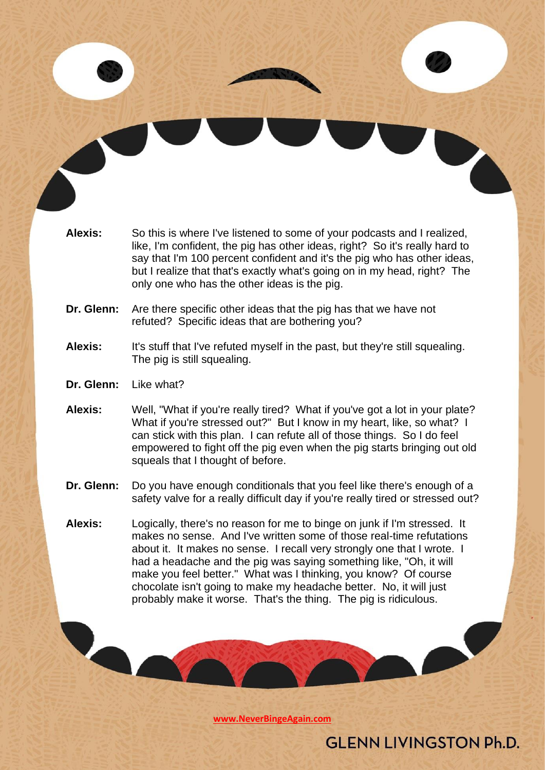

**Dr. Glenn:** Are there specific other ideas that the pig has that we have not refuted? Specific ideas that are bothering you?

#### Alexis: It's stuff that I've refuted myself in the past, but they're still squealing. The pig is still squealing.

- **Dr. Glenn:** Like what?
- **Alexis:** Well, "What if you're really tired? What if you've got a lot in your plate? What if you're stressed out?" But I know in my heart, like, so what? I can stick with this plan. I can refute all of those things. So I do feel empowered to fight off the pig even when the pig starts bringing out old squeals that I thought of before.
- **Dr. Glenn:** Do you have enough conditionals that you feel like there's enough of a safety valve for a really difficult day if you're really tired or stressed out?
- **Alexis:** Logically, there's no reason for me to binge on junk if I'm stressed. It makes no sense. And I've written some of those real-time refutations about it. It makes no sense. I recall very strongly one that I wrote. I had a headache and the pig was saying something like, "Oh, it will make you feel better." What was I thinking, you know? Of course chocolate isn't going to make my headache better. No, it will just probably make it worse. That's the thing. The pig is ridiculous.

**[www.NeverBingeAgain.com](http://www.neverbingeagain.com/)**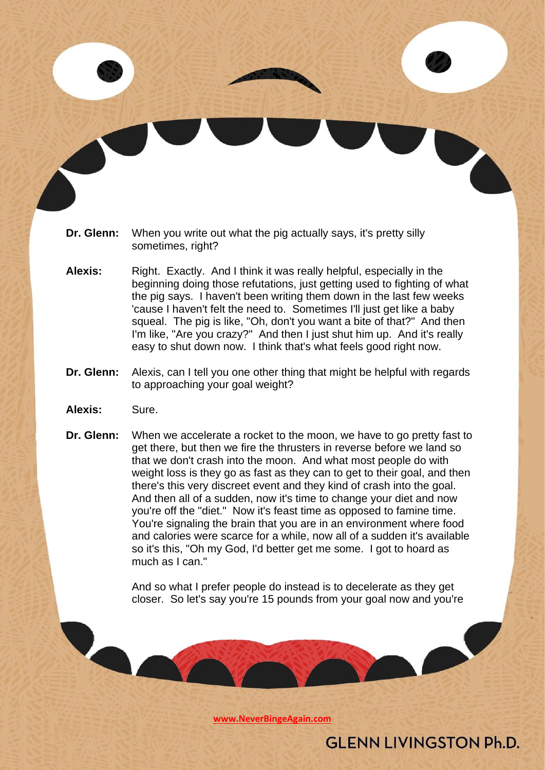- **Dr. Glenn:** When you write out what the pig actually says, it's pretty silly sometimes, right?
- **Alexis:** Right. Exactly. And I think it was really helpful, especially in the beginning doing those refutations, just getting used to fighting of what the pig says. I haven't been writing them down in the last few weeks 'cause I haven't felt the need to. Sometimes I'll just get like a baby squeal. The pig is like, "Oh, don't you want a bite of that?" And then I'm like, "Are you crazy?" And then I just shut him up. And it's really easy to shut down now. I think that's what feels good right now.
- **Dr. Glenn:** Alexis, can I tell you one other thing that might be helpful with regards to approaching your goal weight?
- **Alexis:** Sure.

**Dr. Glenn:** When we accelerate a rocket to the moon, we have to go pretty fast to get there, but then we fire the thrusters in reverse before we land so that we don't crash into the moon. And what most people do with weight loss is they go as fast as they can to get to their goal, and then there's this very discreet event and they kind of crash into the goal. And then all of a sudden, now it's time to change your diet and now you're off the "diet." Now it's feast time as opposed to famine time. You're signaling the brain that you are in an environment where food and calories were scarce for a while, now all of a sudden it's available so it's this, "Oh my God, I'd better get me some. I got to hoard as much as I can."

> And so what I prefer people do instead is to decelerate as they get closer. So let's say you're 15 pounds from your goal now and you're

> > **[www.NeverBingeAgain.com](http://www.neverbingeagain.com/)**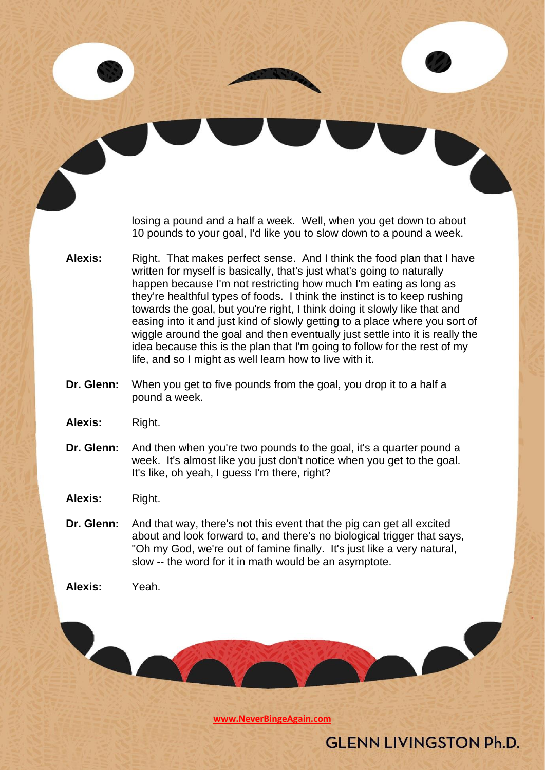losing a pound and a half a week. Well, when you get down to about 10 pounds to your goal, I'd like you to slow down to a pound a week.

- **Alexis:** Right. That makes perfect sense. And I think the food plan that I have written for myself is basically, that's just what's going to naturally happen because I'm not restricting how much I'm eating as long as they're healthful types of foods. I think the instinct is to keep rushing towards the goal, but you're right, I think doing it slowly like that and easing into it and just kind of slowly getting to a place where you sort of wiggle around the goal and then eventually just settle into it is really the idea because this is the plan that I'm going to follow for the rest of my life, and so I might as well learn how to live with it.
- **Dr. Glenn:** When you get to five pounds from the goal, you drop it to a half a pound a week.
- **Alexis:** Right.
- **Dr. Glenn:** And then when you're two pounds to the goal, it's a quarter pound a week. It's almost like you just don't notice when you get to the goal. It's like, oh yeah, I guess I'm there, right?

**Alexis:** Right.

**Dr. Glenn:** And that way, there's not this event that the pig can get all excited about and look forward to, and there's no biological trigger that says, "Oh my God, we're out of famine finally. It's just like a very natural, slow -- the word for it in math would be an asymptote.

**Alexis:** Yeah.

**[www.NeverBingeAgain.com](http://www.neverbingeagain.com/)**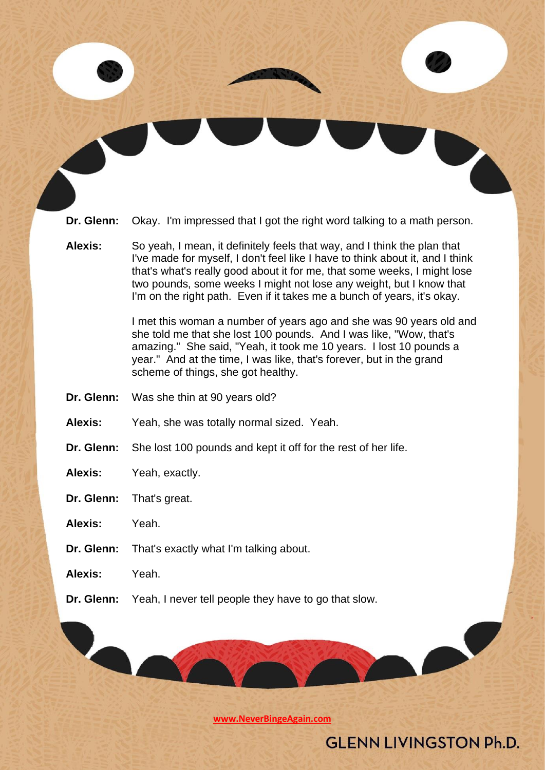**Dr. Glenn:** Okay. I'm impressed that I got the right word talking to a math person.

**Alexis:** So yeah, I mean, it definitely feels that way, and I think the plan that I've made for myself, I don't feel like I have to think about it, and I think that's what's really good about it for me, that some weeks, I might lose two pounds, some weeks I might not lose any weight, but I know that I'm on the right path. Even if it takes me a bunch of years, it's okay.

> I met this woman a number of years ago and she was 90 years old and she told me that she lost 100 pounds. And I was like, "Wow, that's amazing." She said, "Yeah, it took me 10 years. I lost 10 pounds a year." And at the time, I was like, that's forever, but in the grand scheme of things, she got healthy.

- **Dr. Glenn:** Was she thin at 90 years old?
- **Alexis:** Yeah, she was totally normal sized. Yeah.
- **Dr. Glenn:** She lost 100 pounds and kept it off for the rest of her life.
- **Alexis:** Yeah, exactly.
- **Dr. Glenn:** That's great.
- **Alexis:** Yeah.
- **Dr. Glenn:** That's exactly what I'm talking about.
- **Alexis:** Yeah.
- **Dr. Glenn:** Yeah, I never tell people they have to go that slow.

**[www.NeverBingeAgain.com](http://www.neverbingeagain.com/)**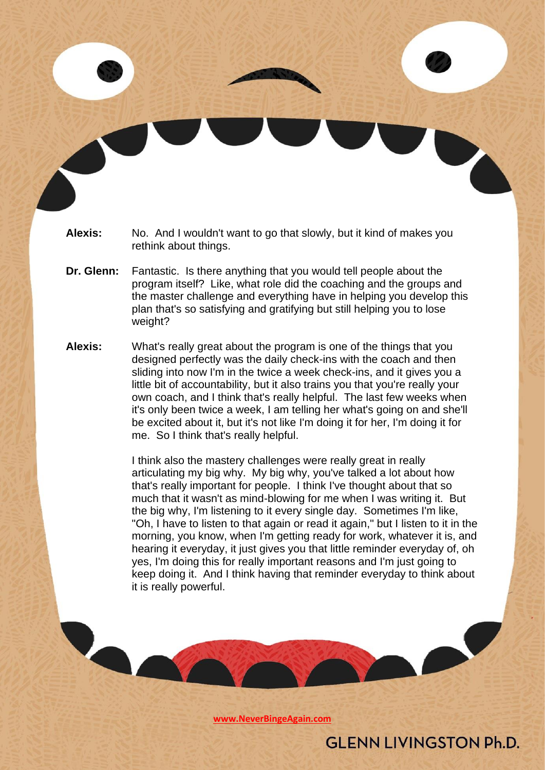- **Alexis:** No. And I wouldn't want to go that slowly, but it kind of makes you rethink about things.
- **Dr. Glenn:** Fantastic. Is there anything that you would tell people about the program itself? Like, what role did the coaching and the groups and the master challenge and everything have in helping you develop this plan that's so satisfying and gratifying but still helping you to lose weight?
- **Alexis:** What's really great about the program is one of the things that you designed perfectly was the daily check-ins with the coach and then sliding into now I'm in the twice a week check-ins, and it gives you a little bit of accountability, but it also trains you that you're really your own coach, and I think that's really helpful. The last few weeks when it's only been twice a week, I am telling her what's going on and she'll be excited about it, but it's not like I'm doing it for her, I'm doing it for me. So I think that's really helpful.

I think also the mastery challenges were really great in really articulating my big why. My big why, you've talked a lot about how that's really important for people. I think I've thought about that so much that it wasn't as mind-blowing for me when I was writing it. But the big why, I'm listening to it every single day. Sometimes I'm like, "Oh, I have to listen to that again or read it again," but I listen to it in the morning, you know, when I'm getting ready for work, whatever it is, and hearing it everyday, it just gives you that little reminder everyday of, oh yes, I'm doing this for really important reasons and I'm just going to keep doing it. And I think having that reminder everyday to think about it is really powerful.

**[www.NeverBingeAgain.com](http://www.neverbingeagain.com/)**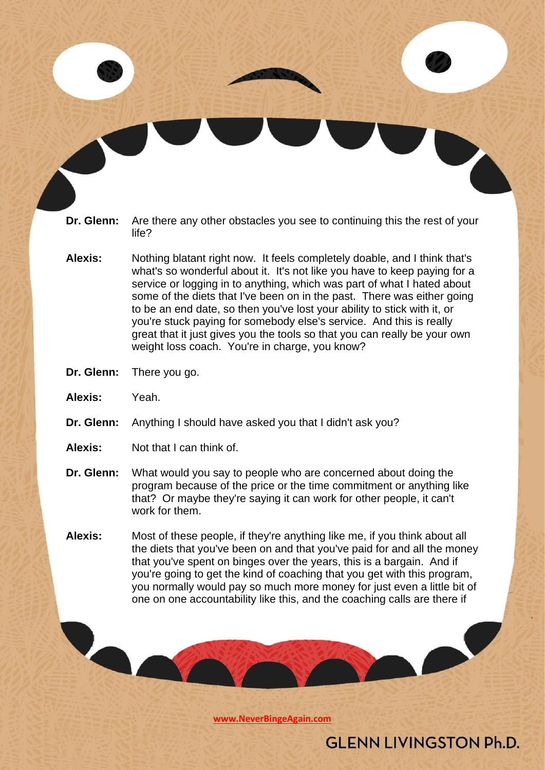- **Dr. Glenn:** Are there any other obstacles you see to continuing this the rest of your life?
- **Alexis:** Nothing blatant right now. It feels completely doable, and I think that's what's so wonderful about it. It's not like you have to keep paying for a service or logging in to anything, which was part of what I hated about some of the diets that I've been on in the past. There was either going to be an end date, so then you've lost your ability to stick with it, or you're stuck paying for somebody else's service. And this is really great that it just gives you the tools so that you can really be your own weight loss coach. You're in charge, you know?
- **Dr. Glenn:** There you go.
- **Alexis:** Yeah.
- **Dr. Glenn:** Anything I should have asked you that I didn't ask you?
- **Alexis:** Not that I can think of.
- **Dr. Glenn:** What would you say to people who are concerned about doing the program because of the price or the time commitment or anything like that? Or maybe they're saying it can work for other people, it can't work for them.
- **Alexis:** Most of these people, if they're anything like me, if you think about all the diets that you've been on and that you've paid for and all the money that you've spent on binges over the years, this is a bargain. And if you're going to get the kind of coaching that you get with this program, you normally would pay so much more money for just even a little bit of one on one accountability like this, and the coaching calls are there if

**[www.NeverBingeAgain.com](http://www.neverbingeagain.com/)**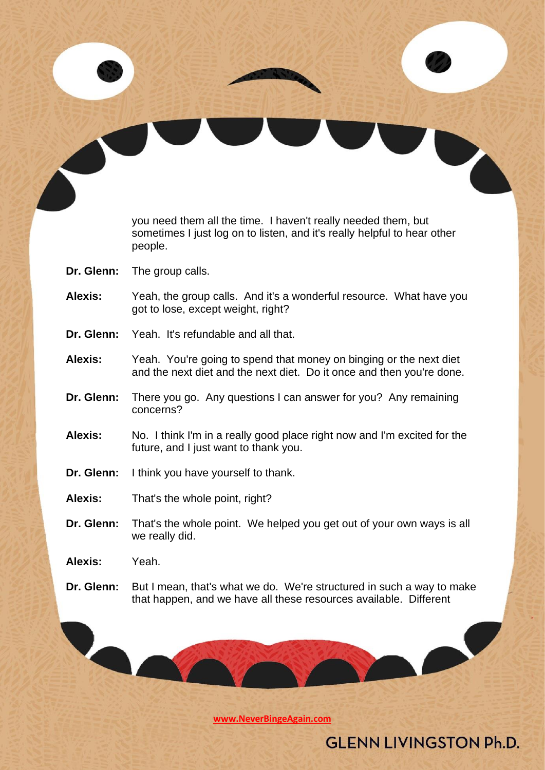you need them all the time. I haven't really needed them, but sometimes I just log on to listen, and it's really helpful to hear other people.

- **Dr. Glenn:** The group calls.
- **Alexis:** Yeah, the group calls. And it's a wonderful resource. What have you got to lose, except weight, right?
- **Dr. Glenn:** Yeah. It's refundable and all that.
- **Alexis:** Yeah. You're going to spend that money on binging or the next diet and the next diet and the next diet. Do it once and then you're done.
- **Dr. Glenn:** There you go. Any questions I can answer for you? Any remaining concerns?
- **Alexis:** No. I think I'm in a really good place right now and I'm excited for the future, and I just want to thank you.
- **Dr. Glenn:** I think you have yourself to thank.
- **Alexis:** That's the whole point, right?
- **Dr. Glenn:** That's the whole point. We helped you get out of your own ways is all we really did.

**Alexis:** Yeah.

LA

**Dr. Glenn:** But I mean, that's what we do. We're structured in such a way to make that happen, and we have all these resources available. Different

**[www.NeverBingeAgain.com](http://www.neverbingeagain.com/)**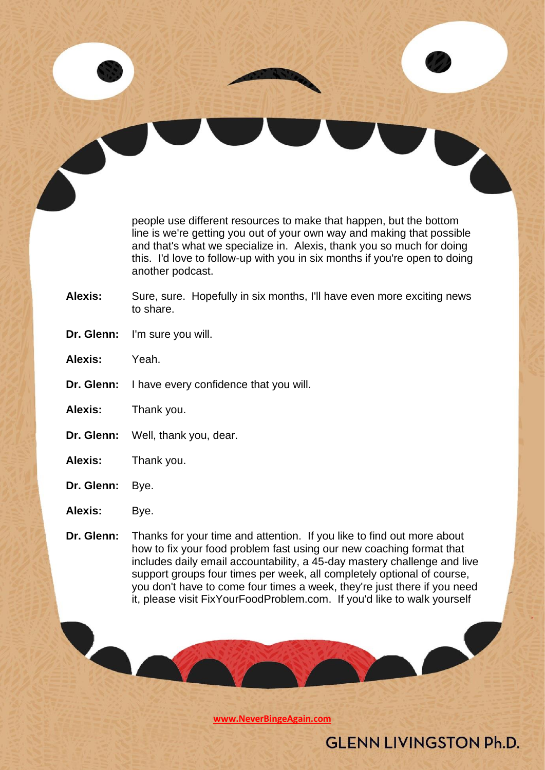people use different resources to make that happen, but the bottom line is we're getting you out of your own way and making that possible and that's what we specialize in. Alexis, thank you so much for doing this. I'd love to follow-up with you in six months if you're open to doing another podcast.

- Alexis: Sure, sure. Hopefully in six months, I'll have even more exciting news to share.
- **Dr. Glenn:** I'm sure you will.
- **Alexis:** Yeah.
- **Dr. Glenn:** I have every confidence that you will.
- **Alexis:** Thank you.
- **Dr. Glenn:** Well, thank you, dear.
- **Alexis:** Thank you.
- **Dr. Glenn:** Bye.
- **Alexis:** Bye.
- **Dr. Glenn:** Thanks for your time and attention. If you like to find out more about how to fix your food problem fast using our new coaching format that includes daily email accountability, a 45-day mastery challenge and live support groups four times per week, all completely optional of course, you don't have to come four times a week, they're just there if you need it, please visit FixYourFoodProblem.com. If you'd like to walk yourself

**[www.NeverBingeAgain.com](http://www.neverbingeagain.com/)**